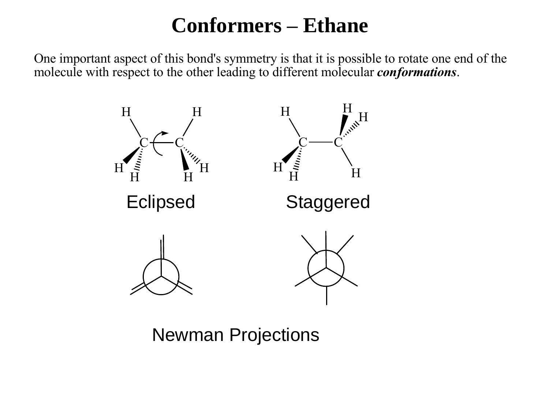#### **Conformers – Ethane**

One important aspect of this bond's symmetry is that it is possible to rotate one end of the molecule with respect to the other leading to different molecular *conformations*.



Newman Projections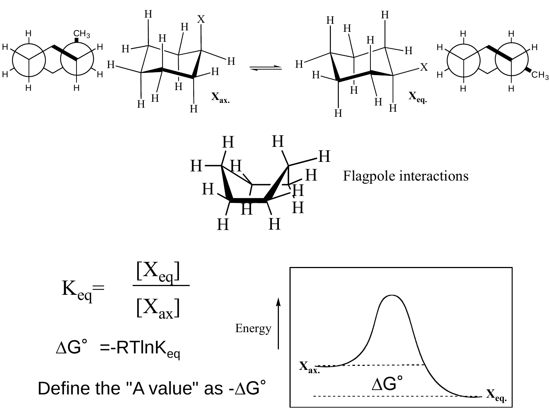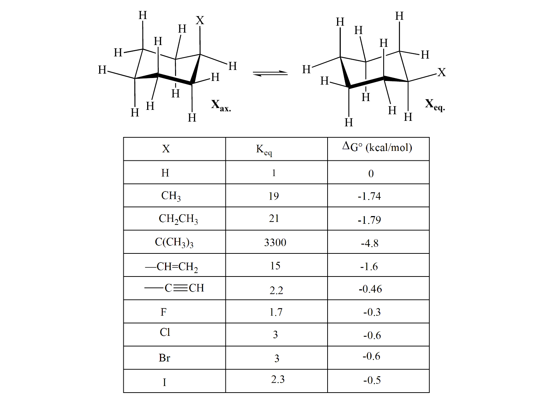

| X                               | $K_{eq}$       | $\Delta G^{\circ}$ (kcal/mol) |
|---------------------------------|----------------|-------------------------------|
| H                               | $\mathbf{1}$   | $\overline{0}$                |
| CH <sub>3</sub>                 | 19             | $-1.74$                       |
| $CH_2CH_3$                      | 21             | $-1.79$                       |
| CCH <sub>3</sub> ) <sub>3</sub> | 3300           | $-4.8$                        |
| $-CH=CH2$                       | 15             | $-1.6$                        |
| $-C = CH$                       | 2.2            | $-0.46$                       |
| $\mathbf F$                     | 1.7            | $-0.3$                        |
| Cl                              | 3              | $-0.6$                        |
| Br                              | $\overline{3}$ | $-0.6$                        |
| I                               | 2.3            | $-0.5$                        |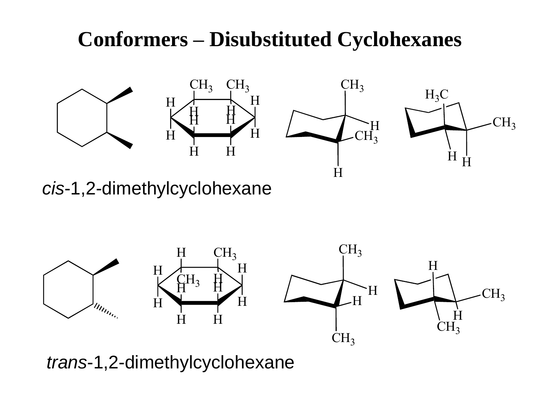## **Conformers – Disubstituted Cyclohexanes**









cis-1,2-dimethylcyclohexane



trans-1,2-dimethylcyclohexane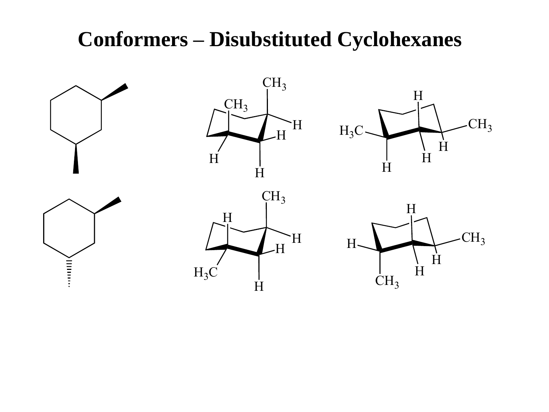## **Conformers - Disubstituted Cyclohexanes**

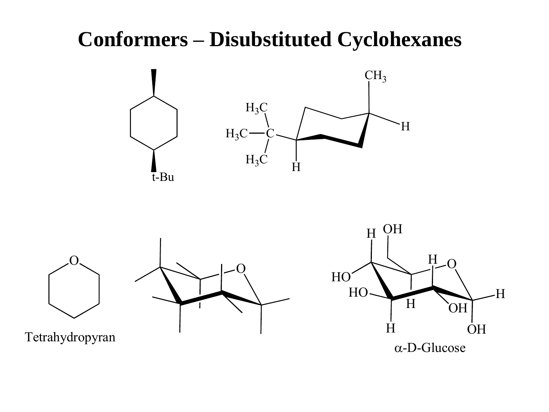## **Conformers - Disubstituted Cyclohexanes**

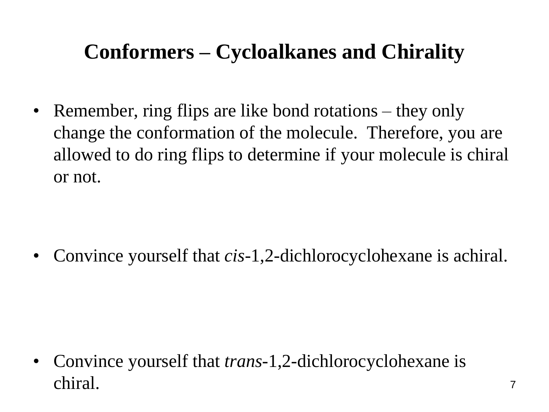# **Conformers – Cycloalkanes and Chirality**

• Remember, ring flips are like bond rotations – they only change the conformation of the molecule. Therefore, you are allowed to do ring flips to determine if your molecule is chiral or not.

• Convince yourself that *cis*-1,2-dichlorocyclohexane is achiral.

• Convince yourself that *trans*-1,2-dichlorocyclohexane is chiral.